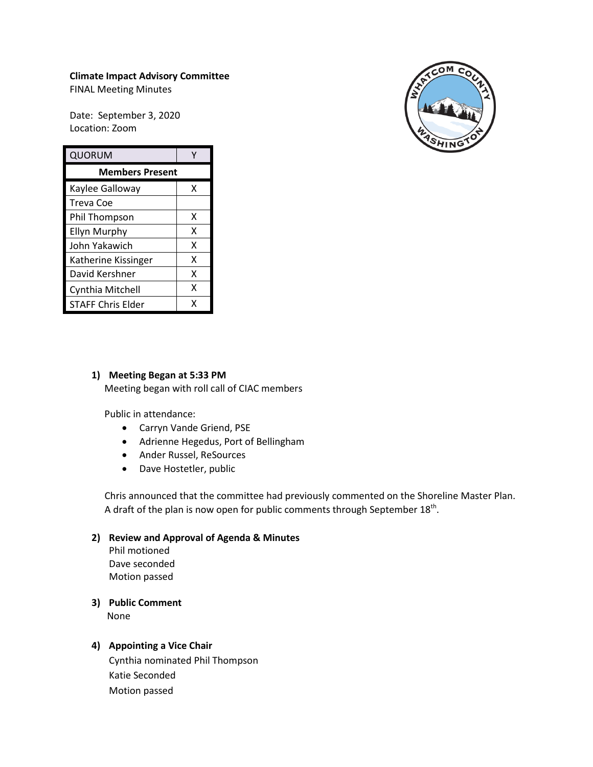# **Climate Impact Advisory Committee**

FINAL Meeting Minutes

Date: September 3, 2020 Location: Zoom

| <b>QUORUM</b>            |   |
|--------------------------|---|
| <b>Members Present</b>   |   |
| Kaylee Galloway          | x |
| <b>Treva Coe</b>         |   |
| Phil Thompson            | х |
| <b>Ellyn Murphy</b>      | x |
| John Yakawich            | x |
| Katherine Kissinger      | x |
| David Kershner           | x |
| Cynthia Mitchell         | x |
| <b>STAFF Chris Elder</b> | x |



### **1) Meeting Began at 5:33 PM** Meeting began with roll call of CIAC members

Public in attendance:

- Carryn Vande Griend, PSE
- Adrienne Hegedus, Port of Bellingham
- Ander Russel, ReSources
- Dave Hostetler, public

Chris announced that the committee had previously commented on the Shoreline Master Plan. A draft of the plan is now open for public comments through September  $18^{th}$ .

### **2) Review and Approval of Agenda & Minutes**

- Phil motioned Dave seconded Motion passed
- **3) Public Comment** None

## **4) Appointing a Vice Chair**

Cynthia nominated Phil Thompson Katie Seconded Motion passed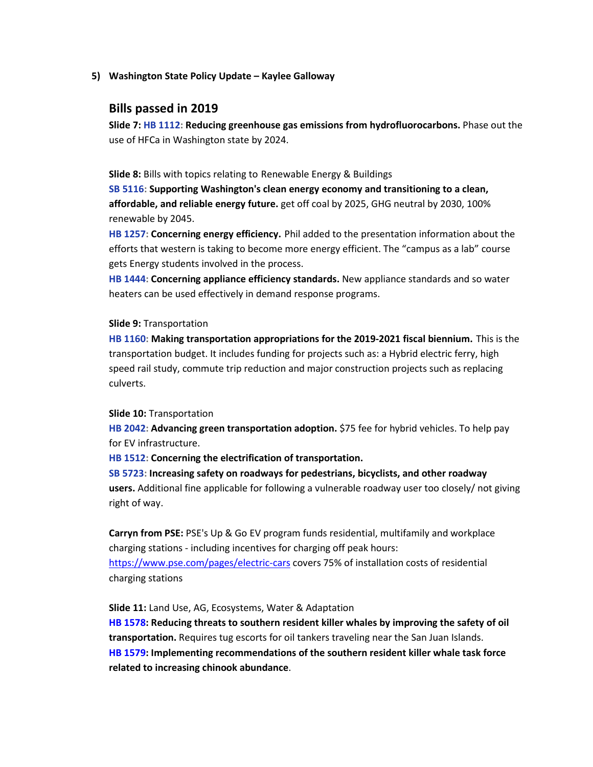### **5) Washington State Policy Update – Kaylee Galloway**

### **Bills passed in 2019**

**Slide 7: HB 1112: Reducing greenhouse gas emissions from hydrofluorocarbons.** Phase out the use of HFCa in Washington state by 2024.

**Slide 8:** Bills with topics relating to Renewable Energy & Buildings

**SB 5116: Supporting Washington's clean energy economy and transitioning to a clean, affordable, and reliable energy future.** get off coal by 2025, GHG neutral by 2030, 100% renewable by 2045.

**HB 1257: Concerning energy efficiency.** Phil added to the presentation information about the efforts that western is taking to become more energy efficient. The "campus as a lab" course gets Energy students involved in the process.

**HB 1444: Concerning appliance efficiency standards.** New appliance standards and so water heaters can be used effectively in demand response programs.

#### **Slide 9:** Transportation

**HB 1160: Making transportation appropriations for the 2019-2021 fiscal biennium.** This is the transportation budget. It includes funding for projects such as: a Hybrid electric ferry, high speed rail study, commute trip reduction and major construction projects such as replacing culverts.

#### **Slide 10:** Transportation

**HB 2042: Advancing green transportation adoption.** \$75 fee for hybrid vehicles. To help pay for EV infrastructure.

**HB 1512: Concerning the electrification of transportation.**

**SB 5723: Increasing safety on roadways for pedestrians, bicyclists, and other roadway users.** Additional fine applicable for following a vulnerable roadway user too closely/ not giving right of way.

**Carryn from PSE:** PSE's Up & Go EV program funds residential, multifamily and workplace charging stations - including incentives for charging off peak hours:

<https://www.pse.com/pages/electric-cars> covers 75% of installation costs of residential charging stations

**Slide 11:** Land Use, AG, Ecosystems, Water & Adaptation

**[HB 1578:](https://app.leg.wa.gov/billsummary?BillNumber=1578&Initiative=false&Year=2019) Reducing threats to southern resident killer whales by improving the safety of oil transportation.** Requires tug escorts for oil tankers traveling near the San Juan Islands. **[HB 1579:](https://app.leg.wa.gov/DLR/billsummary/default.aspx?BillNumber=1579&Initiative=false&Year=2019) Implementing recommendations of the southern resident killer whale task force related to increasing chinook abundance**.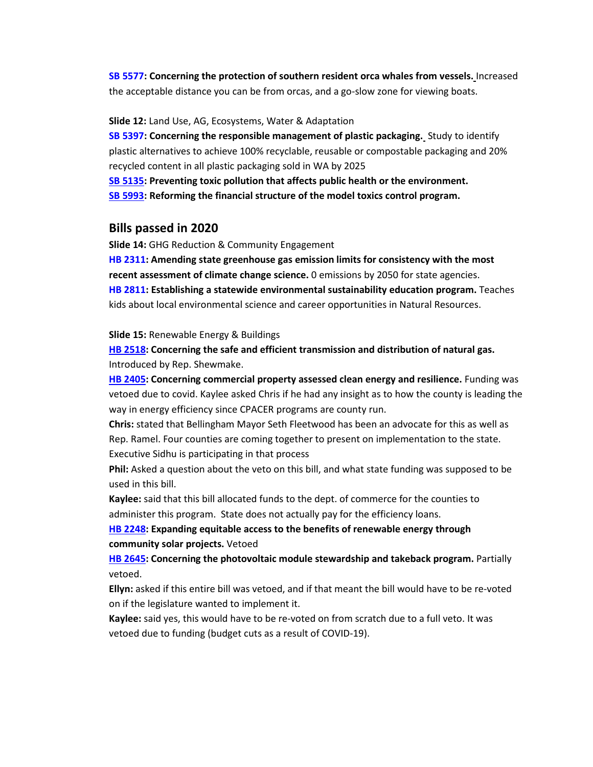**[SB 5577:](https://app.leg.wa.gov/billsummary?billnumber=5577&year=2019&initiati) Concerning the protection of southern resident orca whales from vessels.** Increased the acceptable distance you can be from orcas, and a go-slow zone for viewing boats.

#### **Slide 12:** Land Use, AG, Ecosystems, Water & Adaptation

**[SB 5397:](https://app.leg.wa.gov/billsummary?BillNumber=5397&Initiative=false&Year=2019) Concerning the responsible management of plastic packaging.** Study to identify plastic alternatives to achieve 100% recyclable, reusable or compostable packaging and 20% recycled content in all plastic packaging sold in WA by 2025

**[SB 5135:](https://app.leg.wa.gov/billsummary?BillNumber=5135&Initiative=false&Year=2019) Preventing toxic pollution that affects public health or the environment. [SB 5993:](https://app.leg.wa.gov/billsummary?BillNumber=5993&Initiative=false&Year=2019) Reforming the financial structure of the model toxics control program.**

## **Bills passed in 2020**

**Slide 14:** GHG Reduction & Community Engagement

**[HB 2311:](https://app.leg.wa.gov/billsummary?BillNumber=2311&Initiative=false&Year=2019) Amending state greenhouse gas emission limits for consistency with the most recent assessment of climate change science.** 0 emissions by 2050 for state agencies. **[HB 2811:](https://app.leg.wa.gov/billsummary?BillNumber=2811&Year=2019&Initiative=false) Establishing a statewide environmental sustainability education program.** Teaches kids about local environmental science and career opportunities in Natural Resources.

#### **Slide 15:** Renewable Energy & Buildings

**[HB 2518:](https://app.leg.wa.gov/billsummary?BillNumber=2518&Initiative=false&Year=2019) Concerning the safe and efficient transmission and distribution of natural gas.** Introduced by Rep. Shewmake.

**[HB 2405:](https://app.leg.wa.gov/billsummary?BillNumber=2405&Initiative=false&Year=2019) Concerning commercial property assessed clean energy and resilience.** Funding was vetoed due to covid. Kaylee asked Chris if he had any insight as to how the county is leading the way in energy efficiency since CPACER programs are county run.

**Chris:** stated that Bellingham Mayor Seth Fleetwood has been an advocate for this as well as Rep. Ramel. Four counties are coming together to present on implementation to the state. Executive Sidhu is participating in that process

**Phil:** Asked a question about the veto on this bill, and what state funding was supposed to be used in this bill.

**Kaylee:** said that this bill allocated funds to the dept. of commerce for the counties to administer this program. State does not actually pay for the efficiency loans.

**[HB 2248:](https://app.leg.wa.gov/billsummary?BillNumber=2248&Initiative=false&Year=2019) Expanding equitable access to the benefits of renewable energy through community solar projects.** Vetoed

**[HB 2645:](https://app.leg.wa.gov/billsummary?BillNumber=2645&Initiative=false&Year=2019) Concerning the photovoltaic module stewardship and takeback program.** Partially vetoed.

**Ellyn:** asked if this entire bill was vetoed, and if that meant the bill would have to be re-voted on if the legislature wanted to implement it.

**Kaylee:** said yes, this would have to be re-voted on from scratch due to a full veto. It was vetoed due to funding (budget cuts as a result of COVID-19).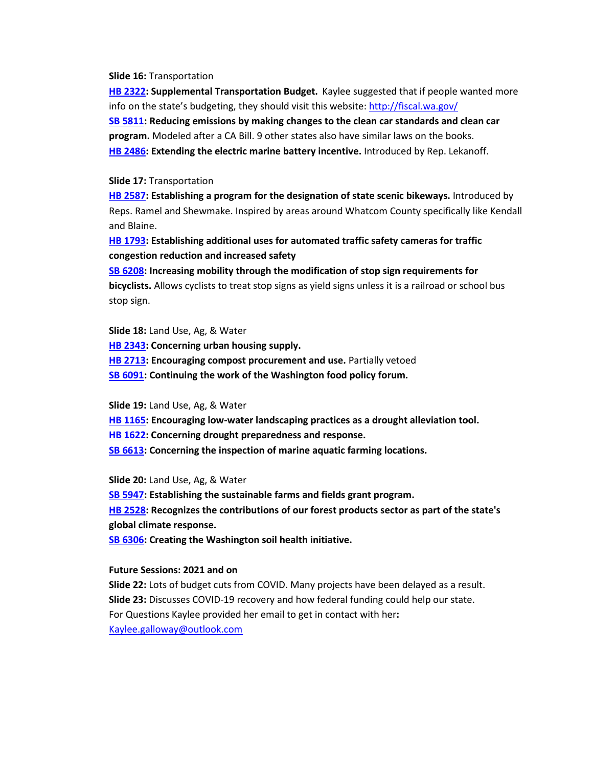#### **Slide 16:** Transportation

**[HB 2322:](https://app.leg.wa.gov/billsummary?BillNumber=2322&Year=2019&Initiative=false) Supplemental Transportation Budget.** Kaylee suggested that if people wanted more info on the state's budgeting, they should visit this website:<http://fiscal.wa.gov/>

**[SB 5811:](https://app.leg.wa.gov/billsummary?BillNumber=5811&Initiative=false&Year=2019) Reducing emissions by making changes to the clean car standards and clean car program.** Modeled after a CA Bill. 9 other states also have similar laws on the books. **[HB 2486:](https://app.leg.wa.gov/billsummary?BillNumber=2486&Year=2019&Initiative=false) Extending the electric marine battery incentive.** Introduced by Rep. Lekanoff.

#### **Slide 17:** Transportation

**[HB 2587:](https://app.leg.wa.gov/billsummary?BillNumber=2587&Initiative=false&Year=2019) Establishing a program for the designation of state scenic bikeways.** Introduced by Reps. Ramel and Shewmake. Inspired by areas around Whatcom County specifically like Kendall and Blaine.

**[HB 1793:](https://app.leg.wa.gov/billsummary?BillNumber=1793&Initiative=false&Year=2019) Establishing additional uses for automated traffic safety cameras for traffic congestion reduction and increased safety**

**[SB 6208:](https://app.leg.wa.gov/billsummary?BillNumber=6208&Initiative=false&Year=2019) Increasing mobility through the modification of stop sign requirements for bicyclists.** Allows cyclists to treat stop signs as yield signs unless it is a railroad or school bus stop sign.

#### **Slide 18:** Land Use, Ag, & Water

**[HB 2343:](https://app.leg.wa.gov/billsummary?BillNumber=2343&Initiative=false&Year=2019) Concerning urban housing supply.**

**[HB 2713:](https://app.leg.wa.gov/billsummary?BillNumber=2713&Initiative=false&Year=2019) Encouraging compost procurement and use.** Partially vetoed

**[SB 6091:](https://app.leg.wa.gov/billsummary?BillNumber=6091&Initiative=false&Year=2019) Continuing the work of the Washington food policy forum.**

#### **Slide 19:** Land Use, Ag, & Water

**[HB 1165:](https://app.leg.wa.gov/billsummary?BillNumber=1165&Initiative=false&Year=2019) Encouraging low-water landscaping practices as a drought alleviation tool.**

**[HB 1622:](https://app.leg.wa.gov/billsummary?BillNumber=1622&Initiative=false&Year=2019) Concerning drought preparedness and response.**

**[SB 6613:](https://app.leg.wa.gov/billsummary?BillNumber=6613&Initiative=false&Year=2019) Concerning the inspection of marine aquatic farming locations.**

**Slide 20:** Land Use, Ag, & Water

**[SB 5947:](https://app.leg.wa.gov/billsummary?BillNumber=5947&Year=2019&Initiative=false) Establishing the sustainable farms and fields grant program.**

**[HB 2528:](https://app.leg.wa.gov/billsummary?BillNumber=2528&Initiative=false&Year=2019) Recognizes the contributions of our forest products sector as part of the state's global climate response.**

**[SB 6306:](https://app.leg.wa.gov/billsummary?BillNumber=6306&Initiative=false&Year=2019) Creating the Washington soil health initiative.**

#### **Future Sessions: 2021 and on**

**Slide 22:** Lots of budget cuts from COVID. Many projects have been delayed as a result. **Slide 23:** Discusses COVID-19 recovery and how federal funding could help our state. For Questions Kaylee provided her email to get in contact with her**:**  [Kaylee.galloway@outlook.com](mailto:Kaylee.galloway@outlook.com)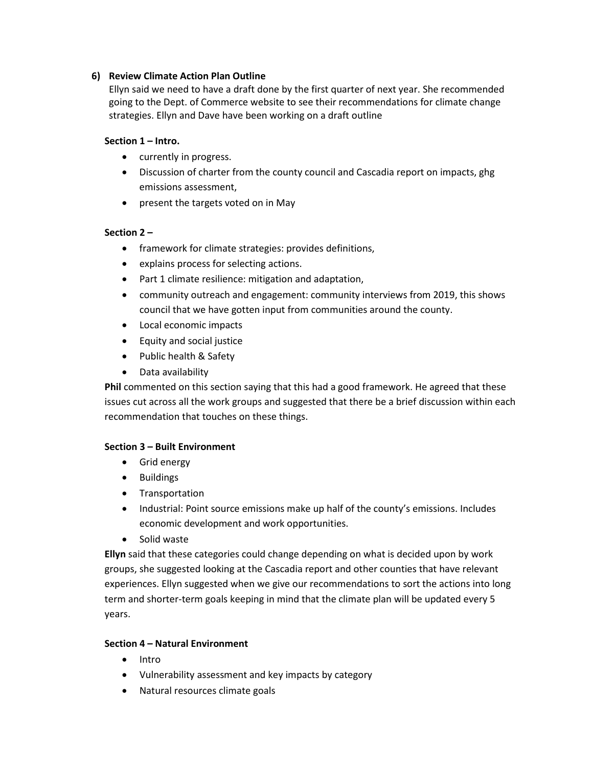## **6) Review Climate Action Plan Outline**

Ellyn said we need to have a draft done by the first quarter of next year. She recommended going to the Dept. of Commerce website to see their recommendations for climate change strategies. Ellyn and Dave have been working on a draft outline

### **Section 1 – Intro.**

- currently in progress.
- Discussion of charter from the county council and Cascadia report on impacts, ghg emissions assessment,
- present the targets voted on in May

### **Section 2 –**

- framework for climate strategies: provides definitions,
- explains process for selecting actions.
- Part 1 climate resilience: mitigation and adaptation,
- community outreach and engagement: community interviews from 2019, this shows council that we have gotten input from communities around the county.
- Local economic impacts
- Equity and social justice
- Public health & Safety
- Data availability

**Phil** commented on this section saying that this had a good framework. He agreed that these issues cut across all the work groups and suggested that there be a brief discussion within each recommendation that touches on these things.

## **Section 3 – Built Environment**

- Grid energy
- Buildings
- Transportation
- Industrial: Point source emissions make up half of the county's emissions. Includes economic development and work opportunities.
- Solid waste

**Ellyn** said that these categories could change depending on what is decided upon by work groups, she suggested looking at the Cascadia report and other counties that have relevant experiences. Ellyn suggested when we give our recommendations to sort the actions into long term and shorter-term goals keeping in mind that the climate plan will be updated every 5 years.

### **Section 4 – Natural Environment**

- Intro
- Vulnerability assessment and key impacts by category
- Natural resources climate goals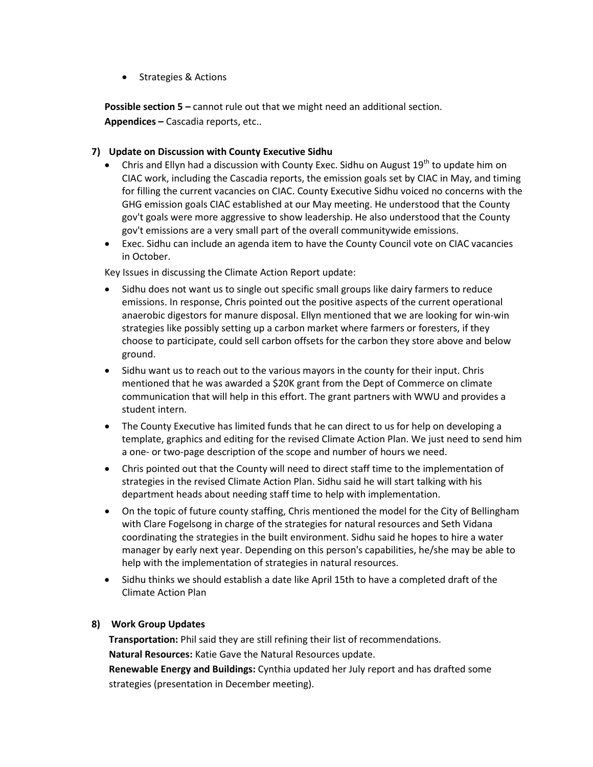• Strategies & Actions

**Possible section 5 –** cannot rule out that we might need an additional section. **Appendices –** Cascadia reports, etc..

### **7) Update on Discussion with County Executive Sidhu**

- Chris and Ellyn had a discussion with County Exec. Sidhu on August  $19^{th}$  to update him on CIAC work, including the Cascadia reports, the emission goals set by CIAC in May, and timing for filling the current vacancies on CIAC. County Executive Sidhu voiced no concerns with the GHG emission goals CIAC established at our May meeting. He understood that the County gov't goals were more aggressive to show leadership. He also understood that the County gov't emissions are a very small part of the overall communitywide emissions.
- Exec. Sidhu can include an agenda item to have the County Council vote on CIAC vacancies in October.

Key Issues in discussing the Climate Action Report update:

- Sidhu does not want us to single out specific small groups like dairy farmers to reduce emissions. In response, Chris pointed out the positive aspects of the current operational anaerobic digestors for manure disposal. Ellyn mentioned that we are looking for win-win strategies like possibly setting up a carbon market where farmers or foresters, if they choose to participate, could sell carbon offsets for the carbon they store above and below ground.
- Sidhu want us to reach out to the various mayors in the county for their input. Chris mentioned that he was awarded a \$20K grant from the Dept of Commerce on climate communication that will help in this effort. The grant partners with WWU and provides a student intern.
- The County Executive has limited funds that he can direct to us for help on developing a template, graphics and editing for the revised Climate Action Plan. We just need to send him a one- or two-page description of the scope and number of hours we need.
- Chris pointed out that the County will need to direct staff time to the implementation of strategies in the revised Climate Action Plan. Sidhu said he will start talking with his department heads about needing staff time to help with implementation.
- On the topic of future county staffing, Chris mentioned the model for the City of Bellingham with Clare Fogelsong in charge of the strategies for natural resources and Seth Vidana coordinating the strategies in the built environment. Sidhu said he hopes to hire a water manager by early next year. Depending on this person's capabilities, he/she may be able to help with the implementation of strategies in natural resources.
- Sidhu thinks we should establish a date like April 15th to have a completed draft of the Climate Action Plan

### **8) Work Group Updates**

**Transportation:** Phil said they are still refining their list of recommendations.

**Natural Resources:** Katie Gave the Natural Resources update.

**Renewable Energy and Buildings:** Cynthia updated her July report and has drafted some strategies (presentation in December meeting).